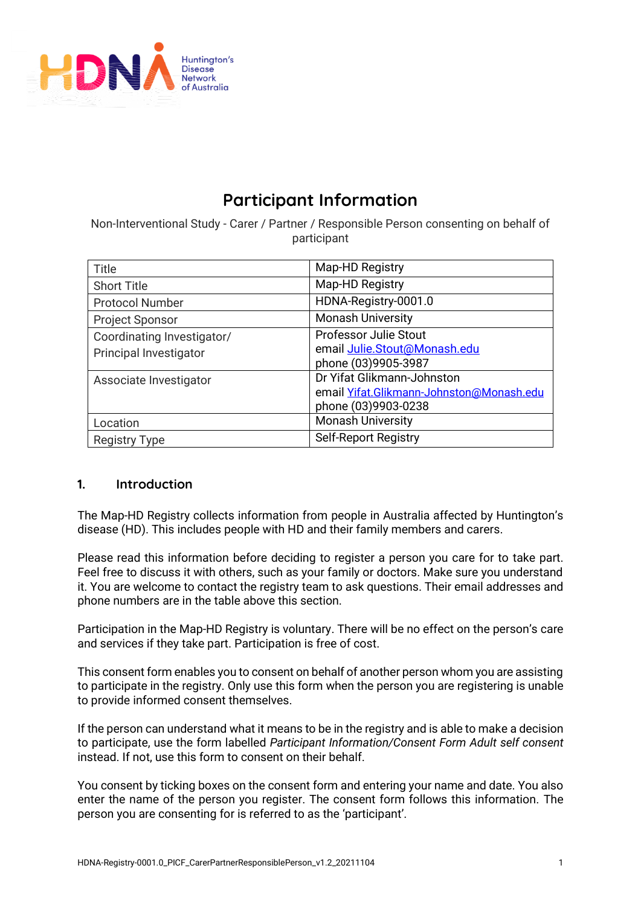

# **Participant Information**

Non-Interventional Study - Carer / Partner / Responsible Person consenting on behalf of participant

| Title                      | Map-HD Registry                          |
|----------------------------|------------------------------------------|
| <b>Short Title</b>         | Map-HD Registry                          |
| <b>Protocol Number</b>     | HDNA-Registry-0001.0                     |
| <b>Project Sponsor</b>     | <b>Monash University</b>                 |
| Coordinating Investigator/ | <b>Professor Julie Stout</b>             |
| Principal Investigator     | email Julie.Stout@Monash.edu             |
|                            | phone (03)9905-3987                      |
| Associate Investigator     | Dr Yifat Glikmann-Johnston               |
|                            | email Yifat.Glikmann-Johnston@Monash.edu |
|                            | phone (03)9903-0238                      |
| Location                   | <b>Monash University</b>                 |
| <b>Registry Type</b>       | <b>Self-Report Registry</b>              |

## **1. Introduction**

The Map-HD Registry collects information from people in Australia affected by Huntington's disease (HD). This includes people with HD and their family members and carers.

Please read this information before deciding to register a person you care for to take part. Feel free to discuss it with others, such as your family or doctors. Make sure you understand it. You are welcome to contact the registry team to ask questions. Their email addresses and phone numbers are in the table above this section.

Participation in the Map-HD Registry is voluntary. There will be no effect on the person's care and services if they take part. Participation is free of cost.

This consent form enables you to consent on behalf of another person whom you are assisting to participate in the registry. Only use this form when the person you are registering is unable to provide informed consent themselves.

If the person can understand what it means to be in the registry and is able to make a decision to participate, use the form labelled *Participant Information/Consent Form Adult self consent* instead. If not, use this form to consent on their behalf.

You consent by ticking boxes on the consent form and entering your name and date. You also enter the name of the person you register. The consent form follows this information. The person you are consenting for is referred to as the 'participant'.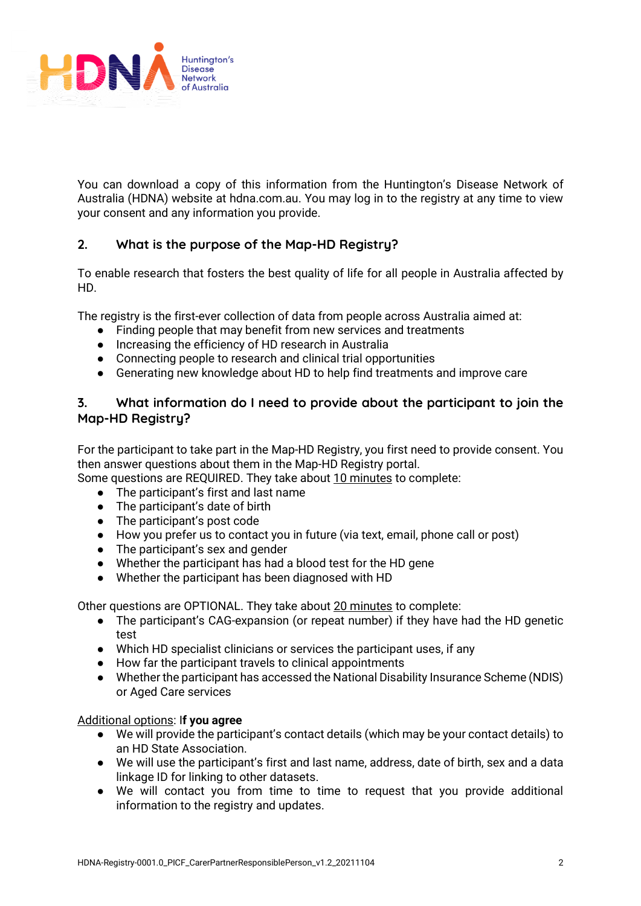

You can download a copy of this information from the Huntington's Disease Network of Australia (HDNA) website at hdna.com.au. You may log in to the registry at any time to view your consent and any information you provide.

# **2. What is the purpose of the Map-HD Registry?**

To enable research that fosters the best quality of life for all people in Australia affected by HD.

The registry is the first-ever collection of data from people across Australia aimed at:

- Finding people that may benefit from new services and treatments
- Increasing the efficiency of HD research in Australia
- Connecting people to research and clinical trial opportunities
- Generating new knowledge about HD to help find treatments and improve care

# **3. What information do I need to provide about the participant to join the Map-HD Registry?**

For the participant to take part in the Map-HD Registry, you first need to provide consent. You then answer questions about them in the Map-HD Registry portal.

Some questions are REQUIRED. They take about 10 minutes to complete:

- The participant's first and last name
- The participant's date of birth
- The participant's post code
- How you prefer us to contact you in future (via text, email, phone call or post)
- The participant's sex and gender
- Whether the participant has had a blood test for the HD gene
- Whether the participant has been diagnosed with HD

Other questions are OPTIONAL. They take about 20 minutes to complete:

- The participant's CAG-expansion (or repeat number) if they have had the HD genetic test
- Which HD specialist clinicians or services the participant uses, if any
- How far the participant travels to clinical appointments
- Whether the participant has accessed the National Disability Insurance Scheme (NDIS) or Aged Care services

#### Additional options: I**f you agree**

- We will provide the participant's contact details (which may be your contact details) to an HD State Association.
- We will use the participant's first and last name, address, date of birth, sex and a data linkage ID for linking to other datasets.
- We will contact you from time to time to request that you provide additional information to the registry and updates.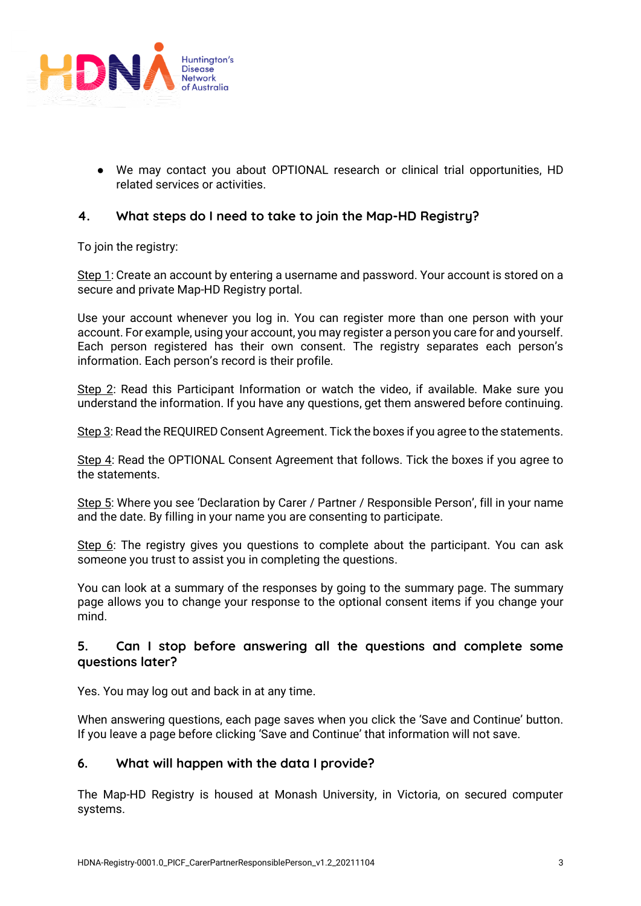

● We may contact you about OPTIONAL research or clinical trial opportunities, HD related services or activities.

# **4. What steps do I need to take to join the Map-HD Registry?**

To join the registry:

Step 1: Create an account by entering a username and password. Your account is stored on a secure and private Map-HD Registry portal.

Use your account whenever you log in. You can register more than one person with your account. For example, using your account, you may register a person you care for and yourself. Each person registered has their own consent. The registry separates each person's information. Each person's record is their profile.

Step 2: Read this Participant Information or watch the video, if available. Make sure you understand the information. If you have any questions, get them answered before continuing.

Step 3: Read the REQUIRED Consent Agreement. Tick the boxes if you agree to the statements.

Step 4: Read the OPTIONAL Consent Agreement that follows. Tick the boxes if you agree to the statements.

Step 5: Where you see 'Declaration by Carer / Partner / Responsible Person', fill in your name and the date. By filling in your name you are consenting to participate.

Step 6: The registry gives you questions to complete about the participant. You can ask someone you trust to assist you in completing the questions.

You can look at a summary of the responses by going to the summary page. The summary page allows you to change your response to the optional consent items if you change your mind.

## **5. Can I stop before answering all the questions and complete some questions later?**

Yes. You may log out and back in at any time.

When answering questions, each page saves when you click the 'Save and Continue' button. If you leave a page before clicking 'Save and Continue' that information will not save.

#### **6. What will happen with the data I provide?**

The Map-HD Registry is housed at Monash University, in Victoria, on secured computer systems.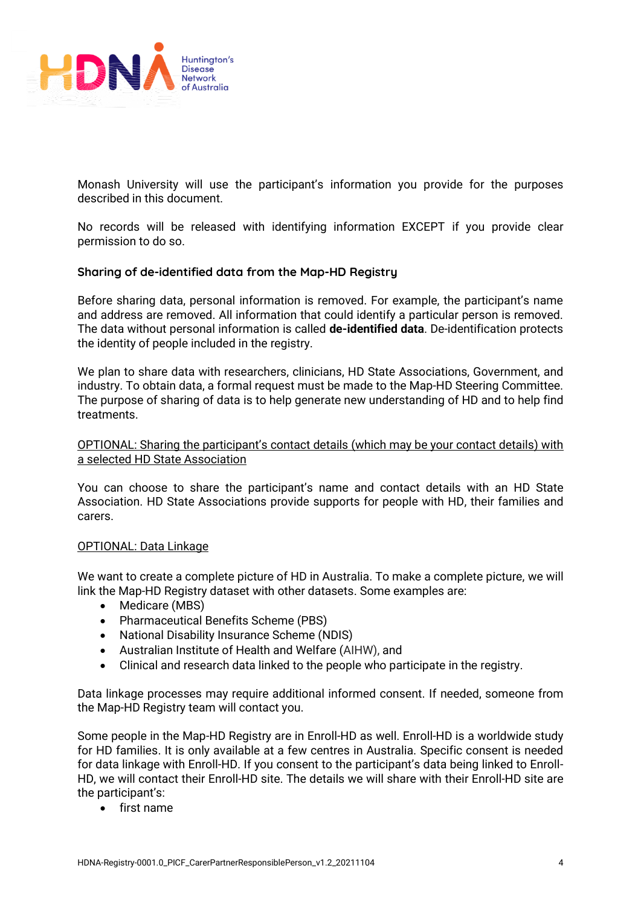

Monash University will use the participant's information you provide for the purposes described in this document.

No records will be released with identifying information EXCEPT if you provide clear permission to do so.

#### **Sharing of de-identified data from the Map-HD Registry**

Before sharing data, personal information is removed. For example, the participant's name and address are removed. All information that could identify a particular person is removed. The data without personal information is called **de-identified data**. De-identification protects the identity of people included in the registry.

We plan to share data with researchers, clinicians, HD State Associations, Government, and industry. To obtain data, a formal request must be made to the Map-HD Steering Committee. The purpose of sharing of data is to help generate new understanding of HD and to help find treatments.

#### OPTIONAL: Sharing the participant's contact details (which may be your contact details) with a selected HD State Association

You can choose to share the participant's name and contact details with an HD State Association. HD State Associations provide supports for people with HD, their families and carers.

#### OPTIONAL: Data Linkage

We want to create a complete picture of HD in Australia. To make a complete picture, we will link the Map-HD Registry dataset with other datasets. Some examples are:

- Medicare (MBS)
- Pharmaceutical Benefits Scheme (PBS)
- National Disability Insurance Scheme (NDIS)
- Australian Institute of Health and Welfare (AIHW), and
- Clinical and research data linked to the people who participate in the registry.

Data linkage processes may require additional informed consent. If needed, someone from the Map-HD Registry team will contact you.

Some people in the Map-HD Registry are in Enroll-HD as well. Enroll-HD is a worldwide study for HD families. It is only available at a few centres in Australia. Specific consent is needed for data linkage with Enroll-HD. If you consent to the participant's data being linked to Enroll-HD, we will contact their Enroll-HD site. The details we will share with their Enroll-HD site are the participant's:

• first name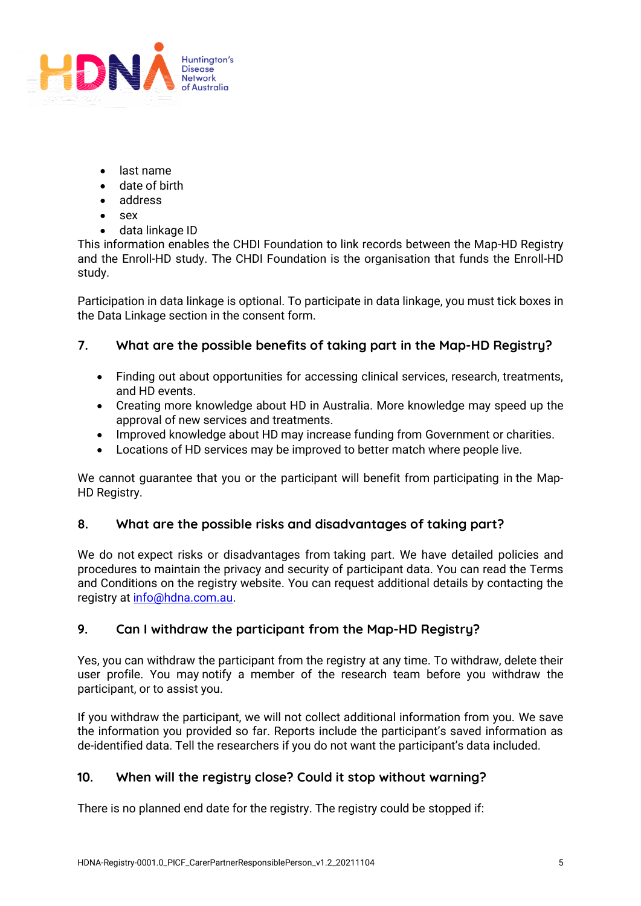

- last name
- date of birth
- address
- sex
- data linkage ID

This information enables the CHDI Foundation to link records between the Map-HD Registry and the Enroll-HD study. The CHDI Foundation is the organisation that funds the Enroll-HD study.

Participation in data linkage is optional. To participate in data linkage, you must tick boxes in the Data Linkage section in the consent form.

## **7. What are the possible benefits of taking part in the Map-HD Registry?**

- Finding out about opportunities for accessing clinical services, research, treatments, and HD events.
- Creating more knowledge about HD in Australia. More knowledge may speed up the approval of new services and treatments.
- Improved knowledge about HD may increase funding from Government or charities.
- Locations of HD services may be improved to better match where people live.

We cannot quarantee that you or the participant will benefit from participating in the Map-HD Registry.

## **8. What are the possible risks and disadvantages of taking part?**

We do not expect risks or disadvantages from taking part. We have detailed policies and procedures to maintain the privacy and security of participant data. You can read the Terms and Conditions on the registry website. You can request additional details by contacting the registry a[t info@hdna.com.au.](about:blank)

## **9. Can I withdraw the participant from the Map-HD Registry?**

Yes, you can withdraw the participant from the registry at any time. To withdraw, delete their user profile. You may notify a member of the research team before you withdraw the participant, or to assist you.

If you withdraw the participant, we will not collect additional information from you. We save the information you provided so far. Reports include the participant's saved information as de-identified data. Tell the researchers if you do not want the participant's data included.

## **10. When will the registry close? Could it stop without warning?**

There is no planned end date for the registry. The registry could be stopped if: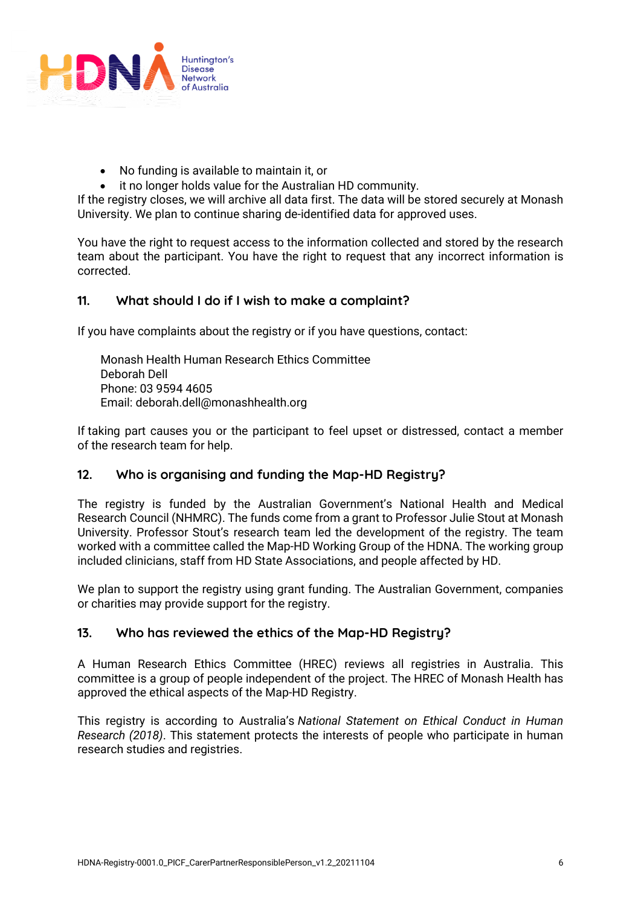

- No funding is available to maintain it, or
- it no longer holds value for the Australian HD community.

If the registry closes, we will archive all data first. The data will be stored securely at Monash University. We plan to continue sharing de-identified data for approved uses.

You have the right to request access to the information collected and stored by the research team about the participant. You have the right to request that any incorrect information is corrected.

## **11. What should I do if I wish to make a complaint?**

If you have complaints about the registry or if you have questions, contact:

Monash Health Human Research Ethics Committee Deborah Dell Phone: 03 9594 4605 Email: deborah.dell@monashhealth.org

If taking part causes you or the participant to feel upset or distressed, contact a member of the research team for help.

## **12. Who is organising and funding the Map-HD Registry?**

The registry is funded by the Australian Government's National Health and Medical Research Council (NHMRC). The funds come from a grant to Professor Julie Stout at Monash University. Professor Stout's research team led the development of the registry. The team worked with a committee called the Map-HD Working Group of the HDNA. The working group included clinicians, staff from HD State Associations, and people affected by HD.

We plan to support the registry using grant funding. The Australian Government, companies or charities may provide support for the registry.

## **13. Who has reviewed the ethics of the Map-HD Registry?**

A Human Research Ethics Committee (HREC) reviews all registries in Australia. This committee is a group of people independent of the project. The HREC of Monash Health has approved the ethical aspects of the Map-HD Registry.

This registry is according to Australia's *National Statement on Ethical Conduct in Human Research (2018)*. This statement protects the interests of people who participate in human research studies and registries.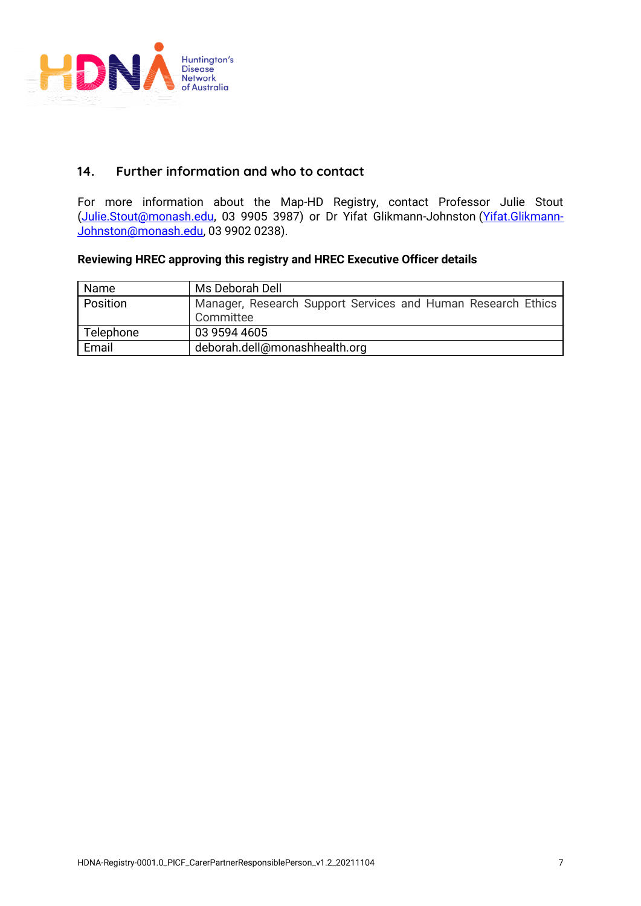

## **14. Further information and who to contact**

For more information about the Map-HD Registry, contact Professor Julie Stout (Julie.Stout@monash.edu, 03 9905 3987) or Dr Yifat Glikmann-Johnston (Yifat.Glikmann-Johnston@monash.edu, 03 9902 0238).

#### **Reviewing HREC approving this registry and HREC Executive Officer details**

| Name      | Ms Deborah Dell                                              |
|-----------|--------------------------------------------------------------|
| Position  | Manager, Research Support Services and Human Research Ethics |
|           | Committee                                                    |
| Telephone | 03 9594 4605                                                 |
| Email     | deborah.dell@monashhealth.org                                |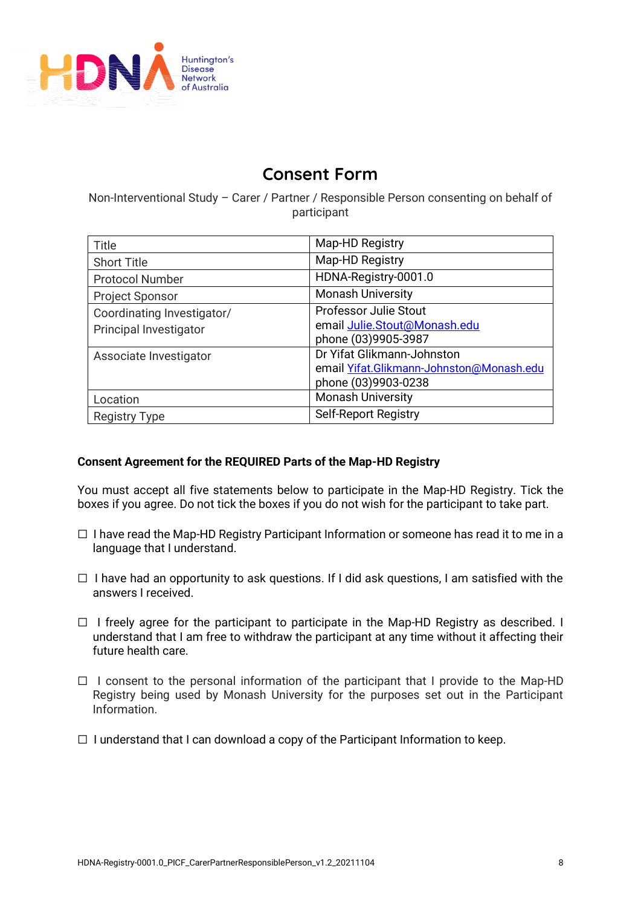

# **Consent Form**

Non-Interventional Study – Carer / Partner / Responsible Person consenting on behalf of participant

| Title                                                | Map-HD Registry                                                                               |
|------------------------------------------------------|-----------------------------------------------------------------------------------------------|
| <b>Short Title</b>                                   | Map-HD Registry                                                                               |
| <b>Protocol Number</b>                               | HDNA-Registry-0001.0                                                                          |
| <b>Project Sponsor</b>                               | <b>Monash University</b>                                                                      |
| Coordinating Investigator/<br>Principal Investigator | <b>Professor Julie Stout</b><br>email Julie.Stout@Monash.edu<br>phone (03)9905-3987           |
| Associate Investigator                               | Dr Yifat Glikmann-Johnston<br>email Yifat.Glikmann-Johnston@Monash.edu<br>phone (03)9903-0238 |
| Location                                             | <b>Monash University</b>                                                                      |
| <b>Registry Type</b>                                 | <b>Self-Report Registry</b>                                                                   |

## **Consent Agreement for the REQUIRED Parts of the Map-HD Registry**

You must accept all five statements below to participate in the Map-HD Registry. Tick the boxes if you agree. Do not tick the boxes if you do not wish for the participant to take part.

- $\Box$  I have read the Map-HD Registry Participant Information or someone has read it to me in a language that I understand.
- $\Box$  I have had an opportunity to ask questions. If I did ask questions, I am satisfied with the answers I received.
- □ I freely agree for the participant to participate in the Map-HD Registry as described. I understand that I am free to withdraw the participant at any time without it affecting their future health care.
- ☐ I consent to the personal information of the participant that I provide to the Map-HD Registry being used by Monash University for the purposes set out in the Participant Information.
- $\Box$  I understand that I can download a copy of the Participant Information to keep.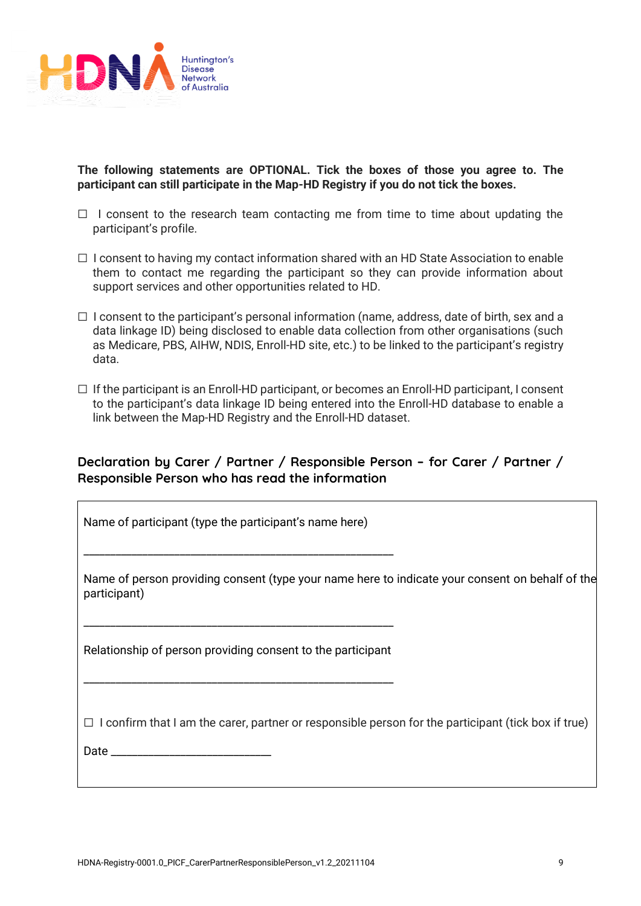

**The following statements are OPTIONAL. Tick the boxes of those you agree to. The participant can still participate in the Map-HD Registry if you do not tick the boxes.** 

- $\Box$  I consent to the research team contacting me from time to time about updating the participant's profile.
- $\Box$  I consent to having my contact information shared with an HD State Association to enable them to contact me regarding the participant so they can provide information about support services and other opportunities related to HD.
- $\Box$  I consent to the participant's personal information (name, address, date of birth, sex and a data linkage ID) being disclosed to enable data collection from other organisations (such as Medicare, PBS, AIHW, NDIS, Enroll-HD site, etc.) to be linked to the participant's registry data.
- $\Box$  If the participant is an Enroll-HD participant, or becomes an Enroll-HD participant, I consent to the participant's data linkage ID being entered into the Enroll-HD database to enable a link between the Map-HD Registry and the Enroll-HD dataset.

# **Declaration by Carer / Partner / Responsible Person – for Carer / Partner / Responsible Person who has read the information**

Name of participant (type the participant's name here)

\_\_\_\_\_\_\_\_\_\_\_\_\_\_\_\_\_\_\_\_\_\_\_\_\_\_\_\_\_\_\_\_\_\_\_\_\_\_\_\_\_\_\_\_\_\_\_\_\_\_\_\_\_\_\_\_\_\_

Name of person providing consent (type your name here to indicate your consent on behalf of the participant)

Relationship of person providing consent to the participant

\_\_\_\_\_\_\_\_\_\_\_\_\_\_\_\_\_\_\_\_\_\_\_\_\_\_\_\_\_\_\_\_\_\_\_\_\_\_\_\_\_\_\_\_\_\_\_\_\_\_\_\_\_\_\_\_\_\_

\_\_\_\_\_\_\_\_\_\_\_\_\_\_\_\_\_\_\_\_\_\_\_\_\_\_\_\_\_\_\_\_\_\_\_\_\_\_\_\_\_\_\_\_\_\_\_\_\_\_\_\_\_\_\_\_\_\_

 $\Box$  I confirm that I am the carer, partner or responsible person for the participant (tick box if true)

Date \_\_\_\_\_\_\_\_\_\_\_\_\_\_\_\_\_\_\_\_\_\_\_\_\_\_\_\_\_\_

 $\overline{\phantom{a}}$